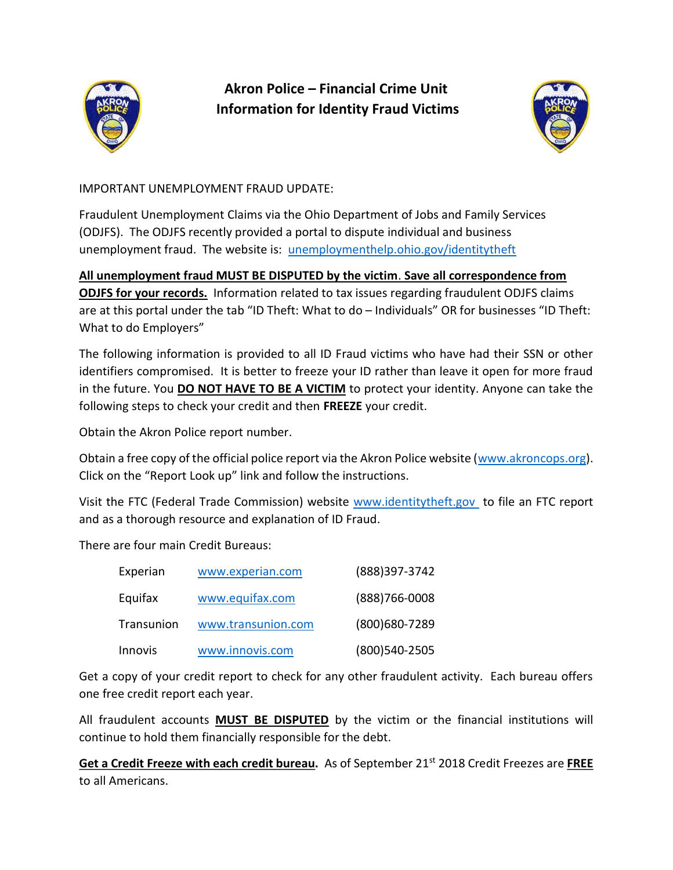

Akron Police – Financial Crime Unit Information for Identity Fraud Victims



IMPORTANT UNEMPLOYMENT FRAUD UPDATE:

Fraudulent Unemployment Claims via the Ohio Department of Jobs and Family Services (ODJFS). The ODJFS recently provided a portal to dispute individual and business unemployment fraud. The website is: unemploymenthelp.ohio.gov/identitytheft

#### All unemployment fraud MUST BE DISPUTED by the victim. Save all correspondence from

ODJFS for your records. Information related to tax issues regarding fraudulent ODJFS claims are at this portal under the tab "ID Theft: What to do – Individuals" OR for businesses "ID Theft: What to do Employers"

The following information is provided to all ID Fraud victims who have had their SSN or other identifiers compromised. It is better to freeze your ID rather than leave it open for more fraud in the future. You **DO NOT HAVE TO BE A VICTIM** to protect your identity. Anyone can take the following steps to check your credit and then FREEZE your credit.

Obtain the Akron Police report number.

Obtain a free copy of the official police report via the Akron Police website (www.akroncops.org). Click on the "Report Look up" link and follow the instructions.

Visit the FTC (Federal Trade Commission) website www.identitytheft.gov to file an FTC report and as a thorough resource and explanation of ID Fraud.

There are four main Credit Bureaus:

| Experian       | www.experian.com   | (888) 397-3742    |
|----------------|--------------------|-------------------|
| Equifax        | www.equifax.com    | $(888)766 - 0008$ |
| Transunion     | www.transunion.com | (800) 680 - 7289  |
| <b>Innovis</b> | www.innovis.com    | (800) 540-2505    |

Get a copy of your credit report to check for any other fraudulent activity. Each bureau offers one free credit report each year.

All fraudulent accounts MUST BE DISPUTED by the victim or the financial institutions will continue to hold them financially responsible for the debt.

Get a Credit Freeze with each credit bureau. As of September 21<sup>st</sup> 2018 Credit Freezes are FREE to all Americans.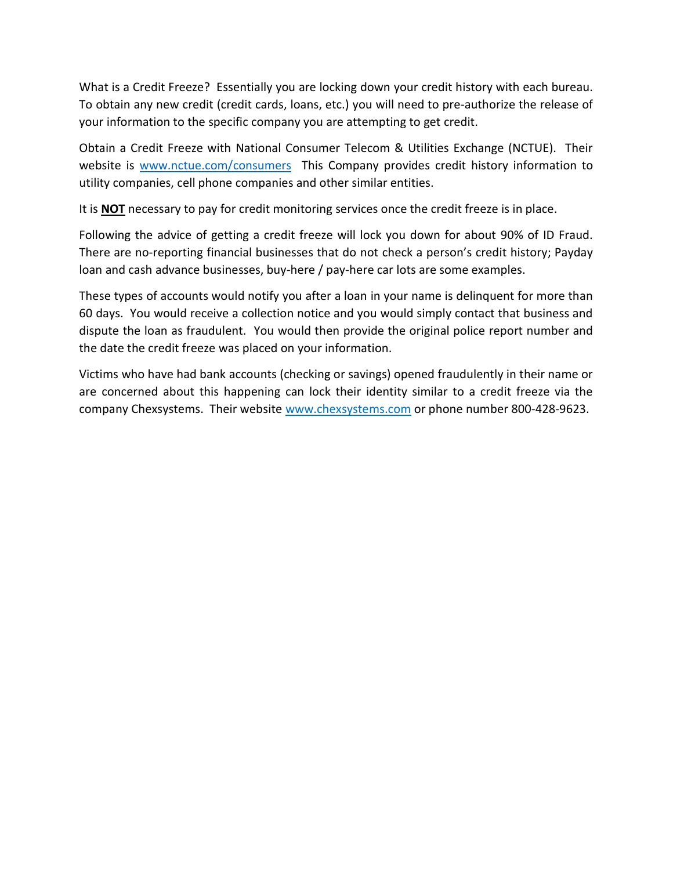What is a Credit Freeze? Essentially you are locking down your credit history with each bureau. To obtain any new credit (credit cards, loans, etc.) you will need to pre-authorize the release of your information to the specific company you are attempting to get credit.

Obtain a Credit Freeze with National Consumer Telecom & Utilities Exchange (NCTUE). Their website is www.nctue.com/consumers This Company provides credit history information to utility companies, cell phone companies and other similar entities.

It is **NOT** necessary to pay for credit monitoring services once the credit freeze is in place.

Following the advice of getting a credit freeze will lock you down for about 90% of ID Fraud. There are no-reporting financial businesses that do not check a person's credit history; Payday loan and cash advance businesses, buy-here / pay-here car lots are some examples.

These types of accounts would notify you after a loan in your name is delinquent for more than 60 days. You would receive a collection notice and you would simply contact that business and dispute the loan as fraudulent. You would then provide the original police report number and the date the credit freeze was placed on your information.

Victims who have had bank accounts (checking or savings) opened fraudulently in their name or are concerned about this happening can lock their identity similar to a credit freeze via the company Chexsystems. Their website www.chexsystems.com or phone number 800-428-9623.